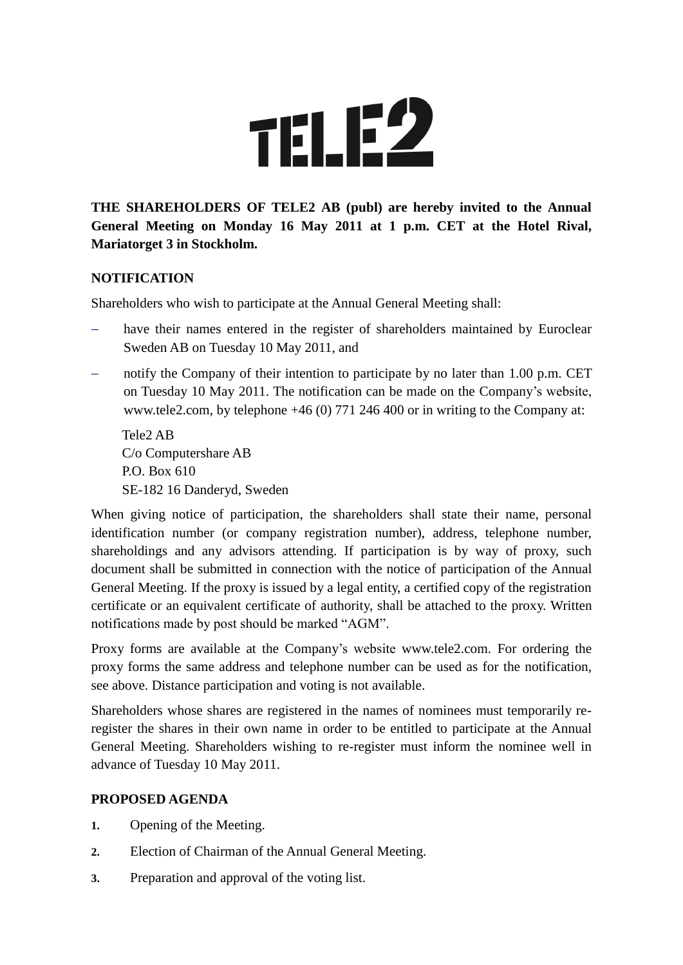

# **THE SHAREHOLDERS OF TELE2 AB (publ) are hereby invited to the Annual General Meeting on Monday 16 May 2011 at 1 p.m. CET at the Hotel Rival, Mariatorget 3 in Stockholm.**

### **NOTIFICATION**

Shareholders who wish to participate at the Annual General Meeting shall:

- have their names entered in the register of shareholders maintained by Euroclear Sweden AB on Tuesday 10 May 2011, and
- notify the Company of their intention to participate by no later than 1.00 p.m. CET on Tuesday 10 May 2011. The notification can be made on the Company's website, www.tele2.com, by telephone +46 (0) 771 246 400 or in writing to the Company at:

Tele2 AB C/o Computershare AB P.O. Box 610 SE-182 16 Danderyd, Sweden

When giving notice of participation, the shareholders shall state their name, personal identification number (or company registration number), address, telephone number, shareholdings and any advisors attending. If participation is by way of proxy, such document shall be submitted in connection with the notice of participation of the Annual General Meeting. If the proxy is issued by a legal entity, a certified copy of the registration certificate or an equivalent certificate of authority, shall be attached to the proxy. Written notifications made by post should be marked "AGM".

Proxy forms are available at the Company's website www.tele2.com. For ordering the proxy forms the same address and telephone number can be used as for the notification, see above. Distance participation and voting is not available.

Shareholders whose shares are registered in the names of nominees must temporarily reregister the shares in their own name in order to be entitled to participate at the Annual General Meeting. Shareholders wishing to re-register must inform the nominee well in advance of Tuesday 10 May 2011.

## **PROPOSED AGENDA**

- **1.** Opening of the Meeting.
- **2.** Election of Chairman of the Annual General Meeting.
- **3.** Preparation and approval of the voting list.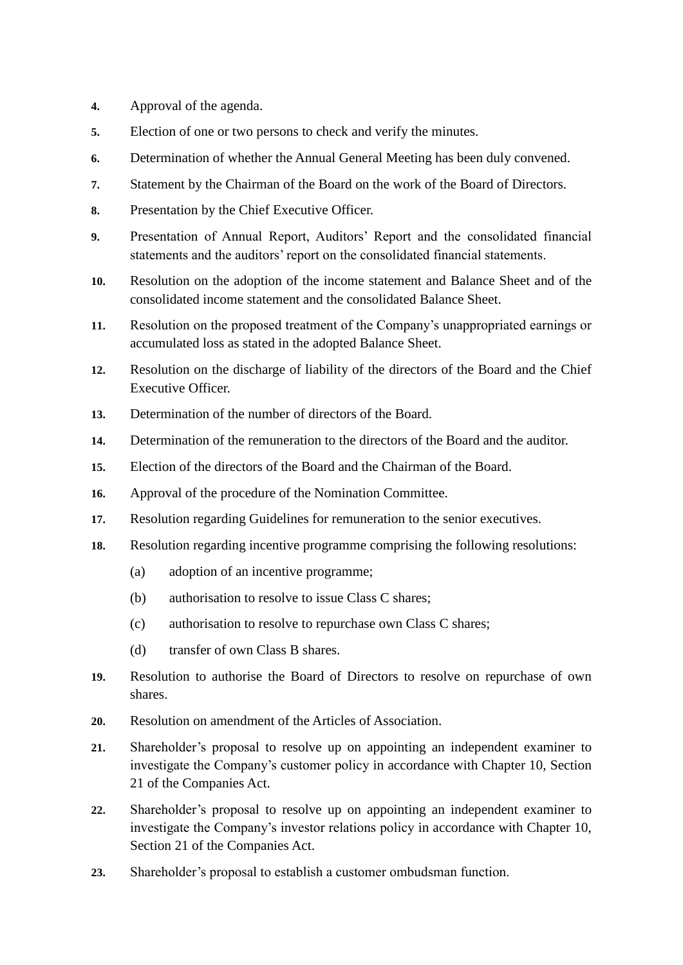- **4.** Approval of the agenda.
- **5.** Election of one or two persons to check and verify the minutes.
- **6.** Determination of whether the Annual General Meeting has been duly convened.
- **7.** Statement by the Chairman of the Board on the work of the Board of Directors.
- **8.** Presentation by the Chief Executive Officer.
- **9.** Presentation of Annual Report, Auditors' Report and the consolidated financial statements and the auditors' report on the consolidated financial statements.
- **10.** Resolution on the adoption of the income statement and Balance Sheet and of the consolidated income statement and the consolidated Balance Sheet.
- **11.** Resolution on the proposed treatment of the Company's unappropriated earnings or accumulated loss as stated in the adopted Balance Sheet.
- **12.** Resolution on the discharge of liability of the directors of the Board and the Chief Executive Officer.
- **13.** Determination of the number of directors of the Board.
- **14.** Determination of the remuneration to the directors of the Board and the auditor.
- **15.** Election of the directors of the Board and the Chairman of the Board.
- **16.** Approval of the procedure of the Nomination Committee.
- **17.** Resolution regarding Guidelines for remuneration to the senior executives.
- **18.** Resolution regarding incentive programme comprising the following resolutions:
	- (a) adoption of an incentive programme;
	- (b) authorisation to resolve to issue Class C shares;
	- (c) authorisation to resolve to repurchase own Class C shares;
	- (d) transfer of own Class B shares.
- **19.** Resolution to authorise the Board of Directors to resolve on repurchase of own shares.
- **20.** Resolution on amendment of the Articles of Association.
- **21.** Shareholder's proposal to resolve up on appointing an independent examiner to investigate the Company's customer policy in accordance with Chapter 10, Section 21 of the Companies Act.
- **22.** Shareholder's proposal to resolve up on appointing an independent examiner to investigate the Company's investor relations policy in accordance with Chapter 10, Section 21 of the Companies Act.
- **23.** Shareholder's proposal to establish a customer ombudsman function.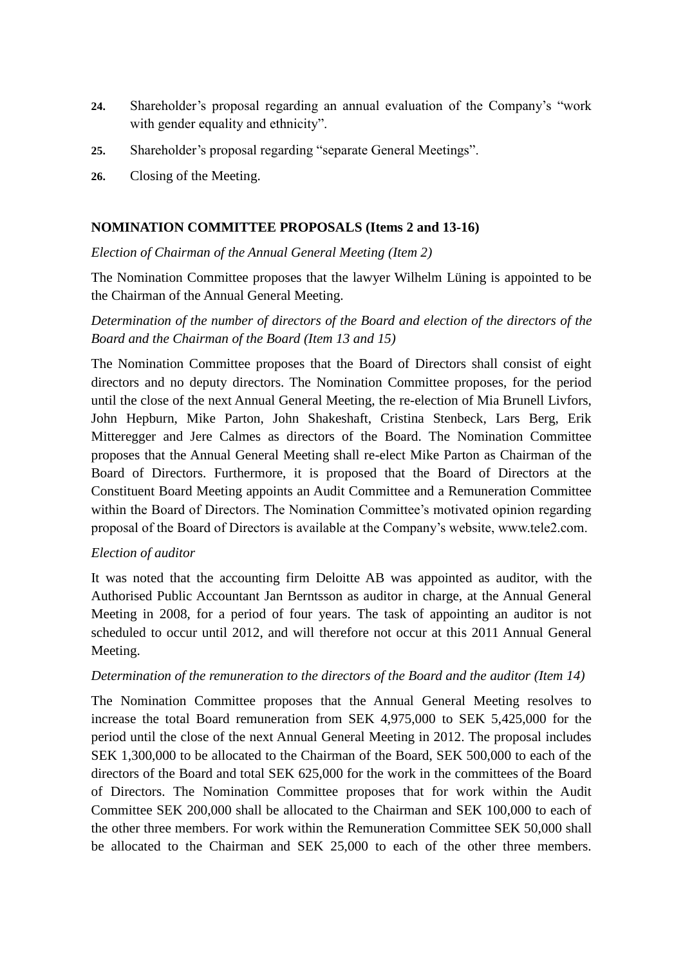- **24.** Shareholder's proposal regarding an annual evaluation of the Company's "work with gender equality and ethnicity".
- **25.** Shareholder's proposal regarding "separate General Meetings".
- **26.** Closing of the Meeting.

### **NOMINATION COMMITTEE PROPOSALS (Items 2 and 13-16)**

*Election of Chairman of the Annual General Meeting (Item 2)*

The Nomination Committee proposes that the lawyer Wilhelm Lüning is appointed to be the Chairman of the Annual General Meeting.

*Determination of the number of directors of the Board and election of the directors of the Board and the Chairman of the Board (Item 13 and 15)*

The Nomination Committee proposes that the Board of Directors shall consist of eight directors and no deputy directors. The Nomination Committee proposes, for the period until the close of the next Annual General Meeting, the re-election of Mia Brunell Livfors, John Hepburn, Mike Parton, John Shakeshaft, Cristina Stenbeck, Lars Berg, Erik Mitteregger and Jere Calmes as directors of the Board. The Nomination Committee proposes that the Annual General Meeting shall re-elect Mike Parton as Chairman of the Board of Directors. Furthermore, it is proposed that the Board of Directors at the Constituent Board Meeting appoints an Audit Committee and a Remuneration Committee within the Board of Directors. The Nomination Committee's motivated opinion regarding proposal of the Board of Directors is available at the Company's website, www.tele2.com.

#### *Election of auditor*

It was noted that the accounting firm Deloitte AB was appointed as auditor, with the Authorised Public Accountant Jan Berntsson as auditor in charge, at the Annual General Meeting in 2008, for a period of four years. The task of appointing an auditor is not scheduled to occur until 2012, and will therefore not occur at this 2011 Annual General Meeting.

#### *Determination of the remuneration to the directors of the Board and the auditor (Item 14)*

The Nomination Committee proposes that the Annual General Meeting resolves to increase the total Board remuneration from SEK 4,975,000 to SEK 5,425,000 for the period until the close of the next Annual General Meeting in 2012. The proposal includes SEK 1,300,000 to be allocated to the Chairman of the Board, SEK 500,000 to each of the directors of the Board and total SEK 625,000 for the work in the committees of the Board of Directors. The Nomination Committee proposes that for work within the Audit Committee SEK 200,000 shall be allocated to the Chairman and SEK 100,000 to each of the other three members. For work within the Remuneration Committee SEK 50,000 shall be allocated to the Chairman and SEK 25,000 to each of the other three members.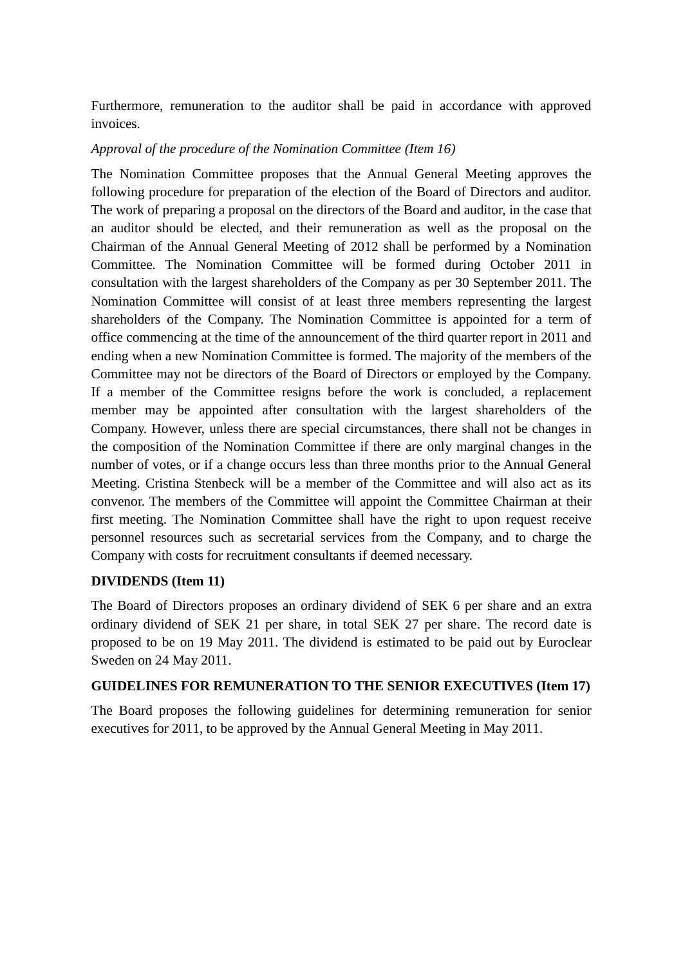Furthermore, remuneration to the auditor shall be paid in accordance with approved invoices.

#### *Approval of the procedure of the Nomination Committee (Item 16)*

The Nomination Committee proposes that the Annual General Meeting approves the following procedure for preparation of the election of the Board of Directors and auditor. The work of preparing a proposal on the directors of the Board and auditor, in the case that an auditor should be elected, and their remuneration as well as the proposal on the Chairman of the Annual General Meeting of 2012 shall be performed by a Nomination Committee. The Nomination Committee will be formed during October 2011 in consultation with the largest shareholders of the Company as per 30 September 2011. The Nomination Committee will consist of at least three members representing the largest shareholders of the Company. The Nomination Committee is appointed for a term of office commencing at the time of the announcement of the third quarter report in 2011 and ending when a new Nomination Committee is formed. The majority of the members of the Committee may not be directors of the Board of Directors or employed by the Company. If a member of the Committee resigns before the work is concluded, a replacement member may be appointed after consultation with the largest shareholders of the Company. However, unless there are special circumstances, there shall not be changes in the composition of the Nomination Committee if there are only marginal changes in the number of votes, or if a change occurs less than three months prior to the Annual General Meeting. Cristina Stenbeck will be a member of the Committee and will also act as its convenor. The members of the Committee will appoint the Committee Chairman at their first meeting. The Nomination Committee shall have the right to upon request receive personnel resources such as secretarial services from the Company, and to charge the Company with costs for recruitment consultants if deemed necessary.

#### **DIVIDENDS (Item 11)**

The Board of Directors proposes an ordinary dividend of SEK 6 per share and an extra ordinary dividend of SEK 21 per share, in total SEK 27 per share. The record date is proposed to be on 19 May 2011. The dividend is estimated to be paid out by Euroclear Sweden on 24 May 2011.

### **GUIDELINES FOR REMUNERATION TO THE SENIOR EXECUTIVES (Item 17)**

The Board proposes the following guidelines for determining remuneration for senior executives for 2011, to be approved by the Annual General Meeting in May 2011.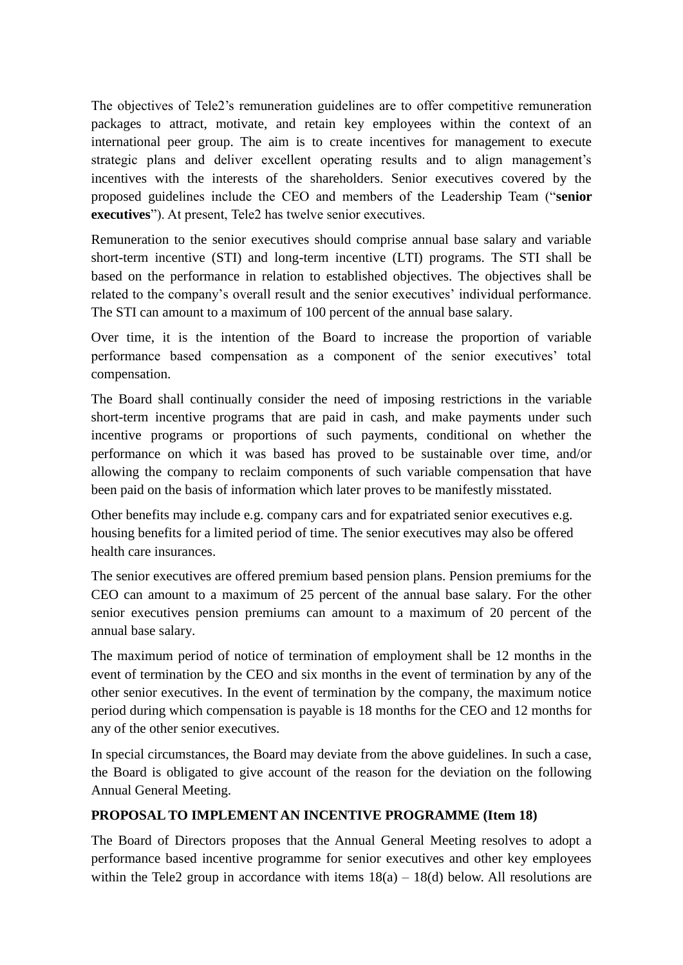The objectives of Tele2's remuneration guidelines are to offer competitive remuneration packages to attract, motivate, and retain key employees within the context of an international peer group. The aim is to create incentives for management to execute strategic plans and deliver excellent operating results and to align management's incentives with the interests of the shareholders. Senior executives covered by the proposed guidelines include the CEO and members of the Leadership Team ("**senior executives**"). At present, Tele2 has twelve senior executives.

Remuneration to the senior executives should comprise annual base salary and variable short-term incentive (STI) and long-term incentive (LTI) programs. The STI shall be based on the performance in relation to established objectives. The objectives shall be related to the company's overall result and the senior executives' individual performance. The STI can amount to a maximum of 100 percent of the annual base salary.

Over time, it is the intention of the Board to increase the proportion of variable performance based compensation as a component of the senior executives' total compensation.

The Board shall continually consider the need of imposing restrictions in the variable short-term incentive programs that are paid in cash, and make payments under such incentive programs or proportions of such payments, conditional on whether the performance on which it was based has proved to be sustainable over time, and/or allowing the company to reclaim components of such variable compensation that have been paid on the basis of information which later proves to be manifestly misstated.

Other benefits may include e.g. company cars and for expatriated senior executives e.g. housing benefits for a limited period of time. The senior executives may also be offered health care insurances.

The senior executives are offered premium based pension plans. Pension premiums for the CEO can amount to a maximum of 25 percent of the annual base salary. For the other senior executives pension premiums can amount to a maximum of 20 percent of the annual base salary.

The maximum period of notice of termination of employment shall be 12 months in the event of termination by the CEO and six months in the event of termination by any of the other senior executives. In the event of termination by the company, the maximum notice period during which compensation is payable is 18 months for the CEO and 12 months for any of the other senior executives.

In special circumstances, the Board may deviate from the above guidelines. In such a case, the Board is obligated to give account of the reason for the deviation on the following Annual General Meeting.

### **PROPOSAL TO IMPLEMENT AN INCENTIVE PROGRAMME (Item 18)**

The Board of Directors proposes that the Annual General Meeting resolves to adopt a performance based incentive programme for senior executives and other key employees within the Tele2 group in accordance with items  $18(a) - 18(d)$  below. All resolutions are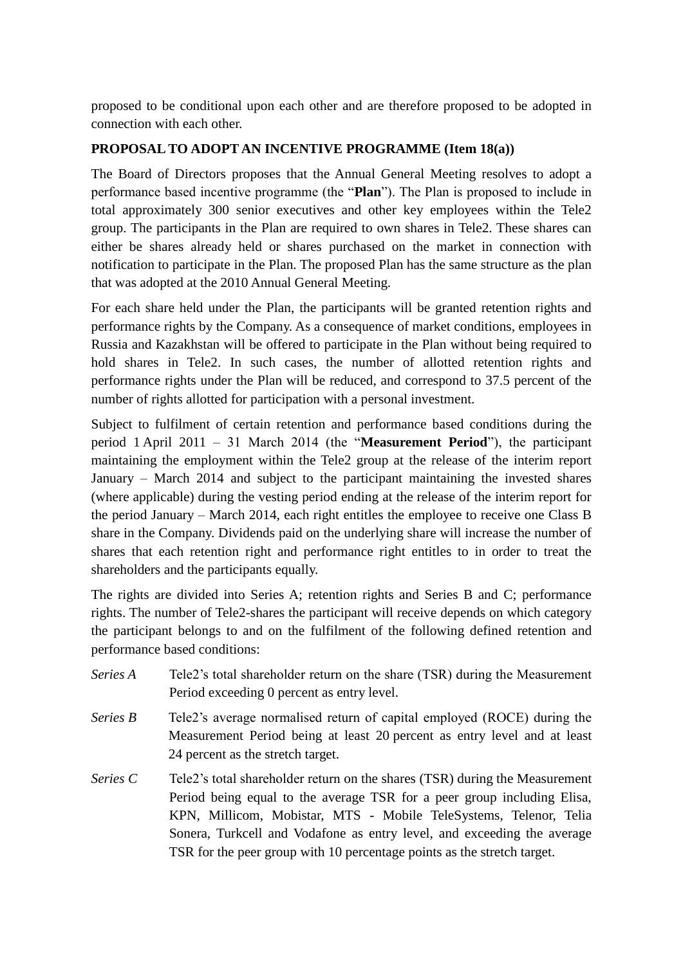proposed to be conditional upon each other and are therefore proposed to be adopted in connection with each other.

## **PROPOSAL TO ADOPT AN INCENTIVE PROGRAMME (Item 18(a))**

The Board of Directors proposes that the Annual General Meeting resolves to adopt a performance based incentive programme (the "**Plan**"). The Plan is proposed to include in total approximately 300 senior executives and other key employees within the Tele2 group. The participants in the Plan are required to own shares in Tele2. These shares can either be shares already held or shares purchased on the market in connection with notification to participate in the Plan. The proposed Plan has the same structure as the plan that was adopted at the 2010 Annual General Meeting.

For each share held under the Plan, the participants will be granted retention rights and performance rights by the Company. As a consequence of market conditions, employees in Russia and Kazakhstan will be offered to participate in the Plan without being required to hold shares in Tele2. In such cases, the number of allotted retention rights and performance rights under the Plan will be reduced, and correspond to 37.5 percent of the number of rights allotted for participation with a personal investment.

Subject to fulfilment of certain retention and performance based conditions during the period 1 April 2011 – 31 March 2014 (the "**Measurement Period**"), the participant maintaining the employment within the Tele2 group at the release of the interim report January – March 2014 and subject to the participant maintaining the invested shares (where applicable) during the vesting period ending at the release of the interim report for the period January – March 2014, each right entitles the employee to receive one Class B share in the Company. Dividends paid on the underlying share will increase the number of shares that each retention right and performance right entitles to in order to treat the shareholders and the participants equally.

The rights are divided into Series A; retention rights and Series B and C; performance rights. The number of Tele2-shares the participant will receive depends on which category the participant belongs to and on the fulfilment of the following defined retention and performance based conditions:

- *Series A* Tele2's total shareholder return on the share (TSR) during the Measurement Period exceeding 0 percent as entry level.
- *Series B* Tele2's average normalised return of capital employed (ROCE) during the Measurement Period being at least 20 percent as entry level and at least 24 percent as the stretch target.
- *Series C* Tele2's total shareholder return on the shares (TSR) during the Measurement Period being equal to the average TSR for a peer group including Elisa, KPN, Millicom, Mobistar, MTS - Mobile TeleSystems, Telenor, Telia Sonera, Turkcell and Vodafone as entry level, and exceeding the average TSR for the peer group with 10 percentage points as the stretch target.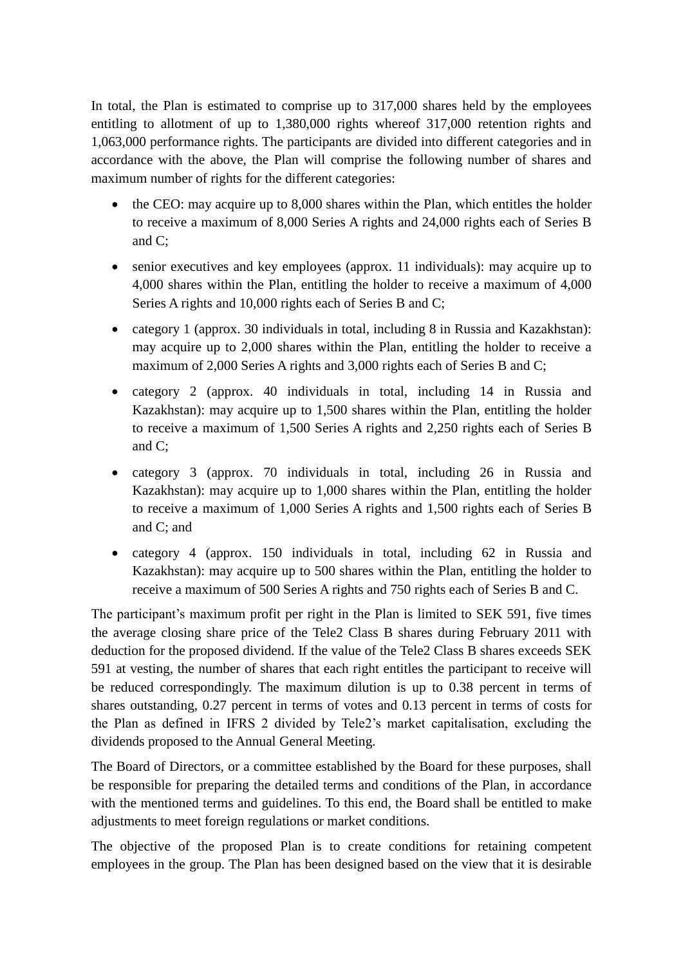In total, the Plan is estimated to comprise up to 317,000 shares held by the employees entitling to allotment of up to 1,380,000 rights whereof 317,000 retention rights and 1,063,000 performance rights. The participants are divided into different categories and in accordance with the above, the Plan will comprise the following number of shares and maximum number of rights for the different categories:

- the CEO: may acquire up to 8,000 shares within the Plan, which entitles the holder to receive a maximum of 8,000 Series A rights and 24,000 rights each of Series B and C;
- senior executives and key employees (approx. 11 individuals): may acquire up to 4,000 shares within the Plan, entitling the holder to receive a maximum of 4,000 Series A rights and 10,000 rights each of Series B and C;
- category 1 (approx. 30 individuals in total, including 8 in Russia and Kazakhstan): may acquire up to 2,000 shares within the Plan, entitling the holder to receive a maximum of 2,000 Series A rights and 3,000 rights each of Series B and C;
- category 2 (approx. 40 individuals in total, including 14 in Russia and Kazakhstan): may acquire up to 1,500 shares within the Plan, entitling the holder to receive a maximum of 1,500 Series A rights and 2,250 rights each of Series B and C;
- category 3 (approx. 70 individuals in total, including 26 in Russia and Kazakhstan): may acquire up to 1,000 shares within the Plan, entitling the holder to receive a maximum of 1,000 Series A rights and 1,500 rights each of Series B and C; and
- category 4 (approx. 150 individuals in total, including 62 in Russia and Kazakhstan): may acquire up to 500 shares within the Plan, entitling the holder to receive a maximum of 500 Series A rights and 750 rights each of Series B and C.

The participant's maximum profit per right in the Plan is limited to SEK 591, five times the average closing share price of the Tele2 Class B shares during February 2011 with deduction for the proposed dividend. If the value of the Tele2 Class B shares exceeds SEK 591 at vesting, the number of shares that each right entitles the participant to receive will be reduced correspondingly. The maximum dilution is up to 0.38 percent in terms of shares outstanding, 0.27 percent in terms of votes and 0.13 percent in terms of costs for the Plan as defined in IFRS 2 divided by Tele2's market capitalisation, excluding the dividends proposed to the Annual General Meeting.

The Board of Directors, or a committee established by the Board for these purposes, shall be responsible for preparing the detailed terms and conditions of the Plan, in accordance with the mentioned terms and guidelines. To this end, the Board shall be entitled to make adjustments to meet foreign regulations or market conditions.

The objective of the proposed Plan is to create conditions for retaining competent employees in the group. The Plan has been designed based on the view that it is desirable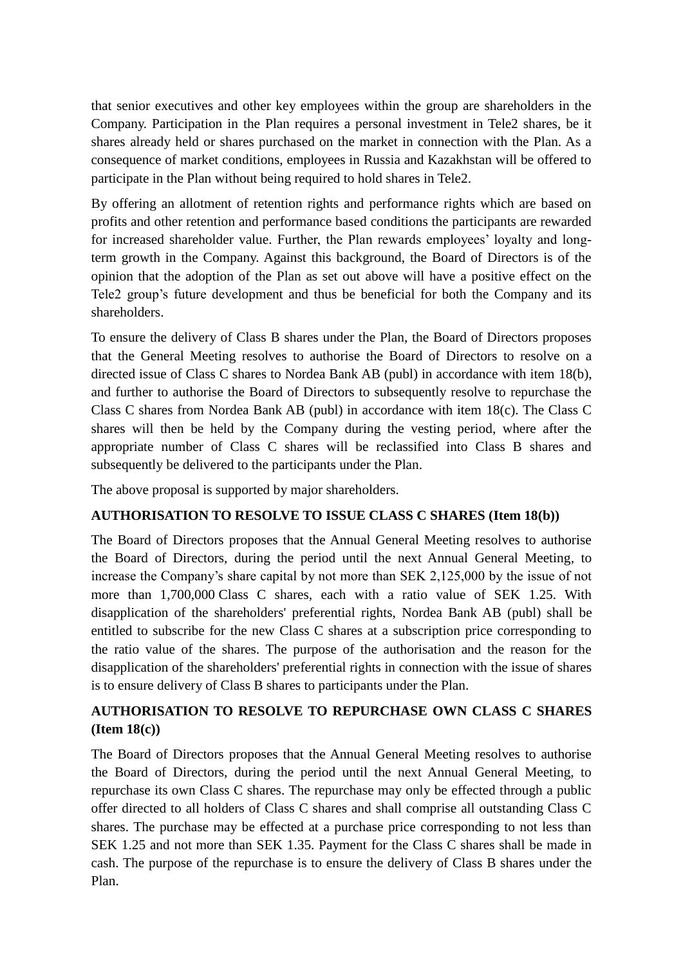that senior executives and other key employees within the group are shareholders in the Company. Participation in the Plan requires a personal investment in Tele2 shares, be it shares already held or shares purchased on the market in connection with the Plan. As a consequence of market conditions, employees in Russia and Kazakhstan will be offered to participate in the Plan without being required to hold shares in Tele2.

By offering an allotment of retention rights and performance rights which are based on profits and other retention and performance based conditions the participants are rewarded for increased shareholder value. Further, the Plan rewards employees' loyalty and longterm growth in the Company. Against this background, the Board of Directors is of the opinion that the adoption of the Plan as set out above will have a positive effect on the Tele2 group's future development and thus be beneficial for both the Company and its shareholders.

To ensure the delivery of Class B shares under the Plan, the Board of Directors proposes that the General Meeting resolves to authorise the Board of Directors to resolve on a directed issue of Class C shares to Nordea Bank AB (publ) in accordance with item 18(b), and further to authorise the Board of Directors to subsequently resolve to repurchase the Class C shares from Nordea Bank AB (publ) in accordance with item 18(c). The Class C shares will then be held by the Company during the vesting period, where after the appropriate number of Class C shares will be reclassified into Class B shares and subsequently be delivered to the participants under the Plan.

The above proposal is supported by major shareholders.

## **AUTHORISATION TO RESOLVE TO ISSUE CLASS C SHARES (Item 18(b))**

The Board of Directors proposes that the Annual General Meeting resolves to authorise the Board of Directors, during the period until the next Annual General Meeting, to increase the Company's share capital by not more than SEK 2,125,000 by the issue of not more than 1,700,000 Class C shares, each with a ratio value of SEK 1.25. With disapplication of the shareholders' preferential rights, Nordea Bank AB (publ) shall be entitled to subscribe for the new Class C shares at a subscription price corresponding to the ratio value of the shares. The purpose of the authorisation and the reason for the disapplication of the shareholders' preferential rights in connection with the issue of shares is to ensure delivery of Class B shares to participants under the Plan.

# **AUTHORISATION TO RESOLVE TO REPURCHASE OWN CLASS C SHARES (Item 18(c))**

The Board of Directors proposes that the Annual General Meeting resolves to authorise the Board of Directors, during the period until the next Annual General Meeting, to repurchase its own Class C shares. The repurchase may only be effected through a public offer directed to all holders of Class C shares and shall comprise all outstanding Class C shares. The purchase may be effected at a purchase price corresponding to not less than SEK 1.25 and not more than SEK 1.35. Payment for the Class C shares shall be made in cash. The purpose of the repurchase is to ensure the delivery of Class B shares under the Plan.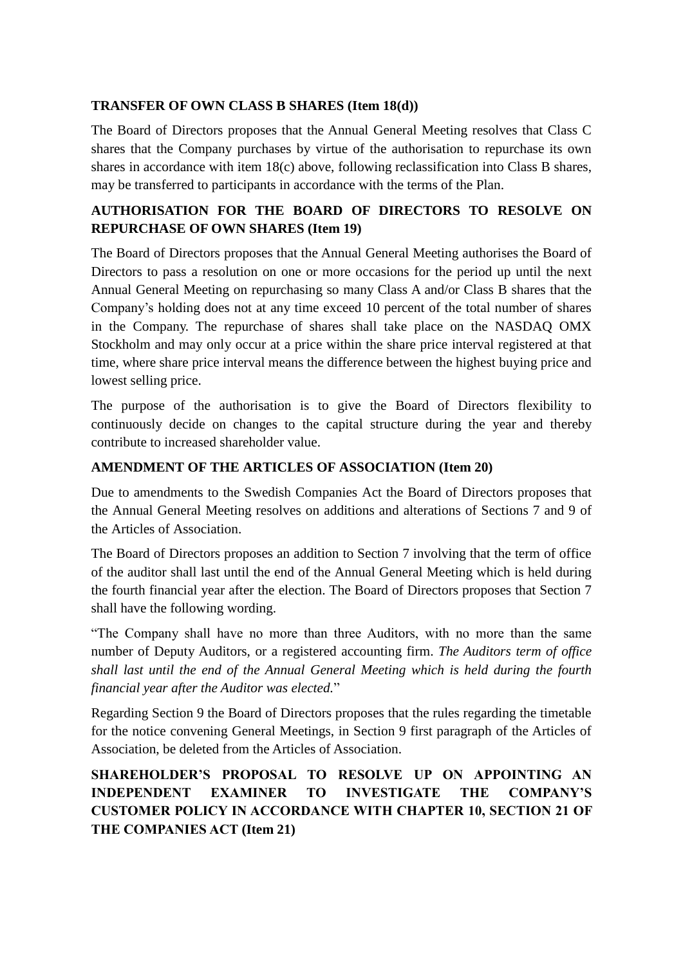### **TRANSFER OF OWN CLASS B SHARES (Item 18(d))**

The Board of Directors proposes that the Annual General Meeting resolves that Class C shares that the Company purchases by virtue of the authorisation to repurchase its own shares in accordance with item 18(c) above, following reclassification into Class B shares, may be transferred to participants in accordance with the terms of the Plan.

## **AUTHORISATION FOR THE BOARD OF DIRECTORS TO RESOLVE ON REPURCHASE OF OWN SHARES (Item 19)**

The Board of Directors proposes that the Annual General Meeting authorises the Board of Directors to pass a resolution on one or more occasions for the period up until the next Annual General Meeting on repurchasing so many Class A and/or Class B shares that the Company's holding does not at any time exceed 10 percent of the total number of shares in the Company. The repurchase of shares shall take place on the NASDAQ OMX Stockholm and may only occur at a price within the share price interval registered at that time, where share price interval means the difference between the highest buying price and lowest selling price.

The purpose of the authorisation is to give the Board of Directors flexibility to continuously decide on changes to the capital structure during the year and thereby contribute to increased shareholder value.

### **AMENDMENT OF THE ARTICLES OF ASSOCIATION (Item 20)**

Due to amendments to the Swedish Companies Act the Board of Directors proposes that the Annual General Meeting resolves on additions and alterations of Sections 7 and 9 of the Articles of Association.

The Board of Directors proposes an addition to Section 7 involving that the term of office of the auditor shall last until the end of the Annual General Meeting which is held during the fourth financial year after the election. The Board of Directors proposes that Section 7 shall have the following wording.

"The Company shall have no more than three Auditors, with no more than the same number of Deputy Auditors, or a registered accounting firm. *The Auditors term of office shall last until the end of the Annual General Meeting which is held during the fourth financial year after the Auditor was elected.*"

Regarding Section 9 the Board of Directors proposes that the rules regarding the timetable for the notice convening General Meetings, in Section 9 first paragraph of the Articles of Association, be deleted from the Articles of Association.

# **SHAREHOLDER'S PROPOSAL TO RESOLVE UP ON APPOINTING AN INDEPENDENT EXAMINER TO INVESTIGATE THE COMPANY'S CUSTOMER POLICY IN ACCORDANCE WITH CHAPTER 10, SECTION 21 OF THE COMPANIES ACT (Item 21)**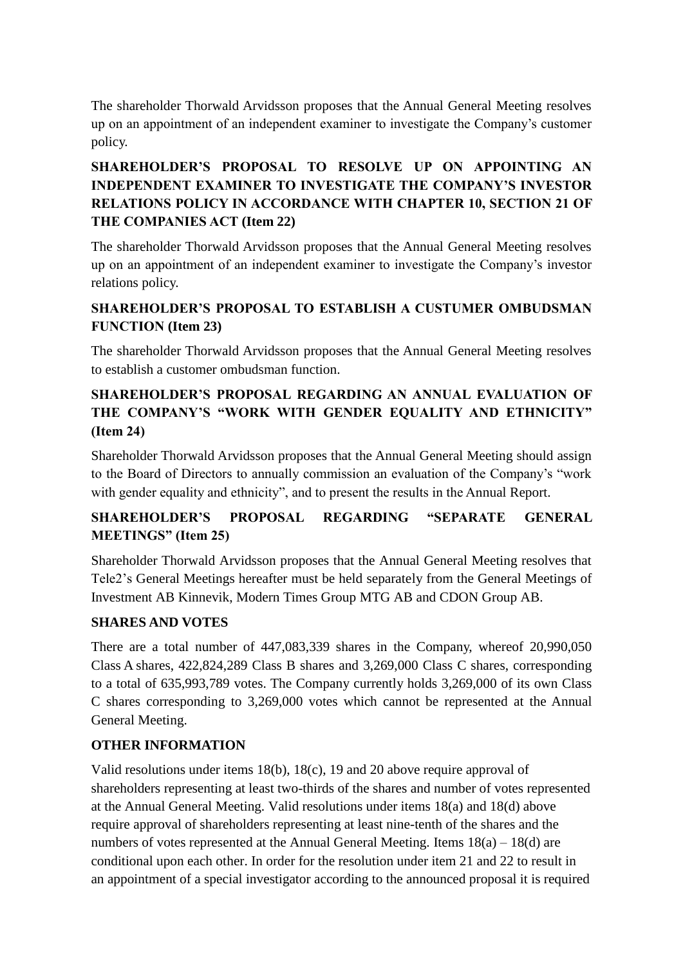The shareholder Thorwald Arvidsson proposes that the Annual General Meeting resolves up on an appointment of an independent examiner to investigate the Company's customer policy.

# **SHAREHOLDER'S PROPOSAL TO RESOLVE UP ON APPOINTING AN INDEPENDENT EXAMINER TO INVESTIGATE THE COMPANY'S INVESTOR RELATIONS POLICY IN ACCORDANCE WITH CHAPTER 10, SECTION 21 OF THE COMPANIES ACT (Item 22)**

The shareholder Thorwald Arvidsson proposes that the Annual General Meeting resolves up on an appointment of an independent examiner to investigate the Company's investor relations policy.

# **SHAREHOLDER'S PROPOSAL TO ESTABLISH A CUSTUMER OMBUDSMAN FUNCTION (Item 23)**

The shareholder Thorwald Arvidsson proposes that the Annual General Meeting resolves to establish a customer ombudsman function.

# **SHAREHOLDER'S PROPOSAL REGARDING AN ANNUAL EVALUATION OF THE COMPANY'S "WORK WITH GENDER EQUALITY AND ETHNICITY" (Item 24)**

Shareholder Thorwald Arvidsson proposes that the Annual General Meeting should assign to the Board of Directors to annually commission an evaluation of the Company's "work with gender equality and ethnicity", and to present the results in the Annual Report.

# **SHAREHOLDER'S PROPOSAL REGARDING "SEPARATE GENERAL MEETINGS" (Item 25)**

Shareholder Thorwald Arvidsson proposes that the Annual General Meeting resolves that Tele2's General Meetings hereafter must be held separately from the General Meetings of Investment AB Kinnevik, Modern Times Group MTG AB and CDON Group AB.

## **SHARES AND VOTES**

There are a total number of 447,083,339 shares in the Company, whereof 20,990,050 Class A shares, 422,824,289 Class B shares and 3,269,000 Class C shares, corresponding to a total of 635,993,789 votes. The Company currently holds 3,269,000 of its own Class C shares corresponding to 3,269,000 votes which cannot be represented at the Annual General Meeting.

## **OTHER INFORMATION**

Valid resolutions under items 18(b), 18(c), 19 and 20 above require approval of shareholders representing at least two-thirds of the shares and number of votes represented at the Annual General Meeting. Valid resolutions under items 18(a) and 18(d) above require approval of shareholders representing at least nine-tenth of the shares and the numbers of votes represented at the Annual General Meeting. Items  $18(a) - 18(d)$  are conditional upon each other. In order for the resolution under item 21 and 22 to result in an appointment of a special investigator according to the announced proposal it is required